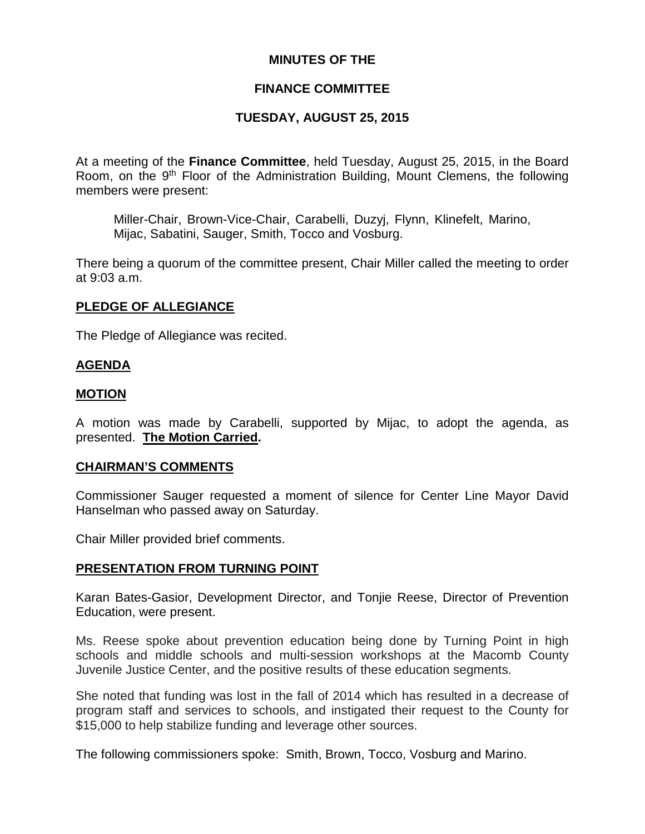# **MINUTES OF THE**

# **FINANCE COMMITTEE**

# **TUESDAY, AUGUST 25, 2015**

At a meeting of the **Finance Committee**, held Tuesday, August 25, 2015, in the Board Room, on the 9<sup>th</sup> Floor of the Administration Building, Mount Clemens, the following members were present:

Miller-Chair, Brown-Vice-Chair, Carabelli, Duzyj, Flynn, Klinefelt, Marino, Mijac, Sabatini, Sauger, Smith, Tocco and Vosburg.

There being a quorum of the committee present, Chair Miller called the meeting to order at 9:03 a.m.

## **PLEDGE OF ALLEGIANCE**

The Pledge of Allegiance was recited.

#### **AGENDA**

#### **MOTION**

A motion was made by Carabelli, supported by Mijac, to adopt the agenda, as presented. **The Motion Carried.**

#### **CHAIRMAN'S COMMENTS**

Commissioner Sauger requested a moment of silence for Center Line Mayor David Hanselman who passed away on Saturday.

Chair Miller provided brief comments.

#### **PRESENTATION FROM TURNING POINT**

Karan Bates-Gasior, Development Director, and Tonjie Reese, Director of Prevention Education, were present.

Ms. Reese spoke about prevention education being done by Turning Point in high schools and middle schools and multi-session workshops at the Macomb County Juvenile Justice Center, and the positive results of these education segments.

She noted that funding was lost in the fall of 2014 which has resulted in a decrease of program staff and services to schools, and instigated their request to the County for \$15,000 to help stabilize funding and leverage other sources.

The following commissioners spoke: Smith, Brown, Tocco, Vosburg and Marino.